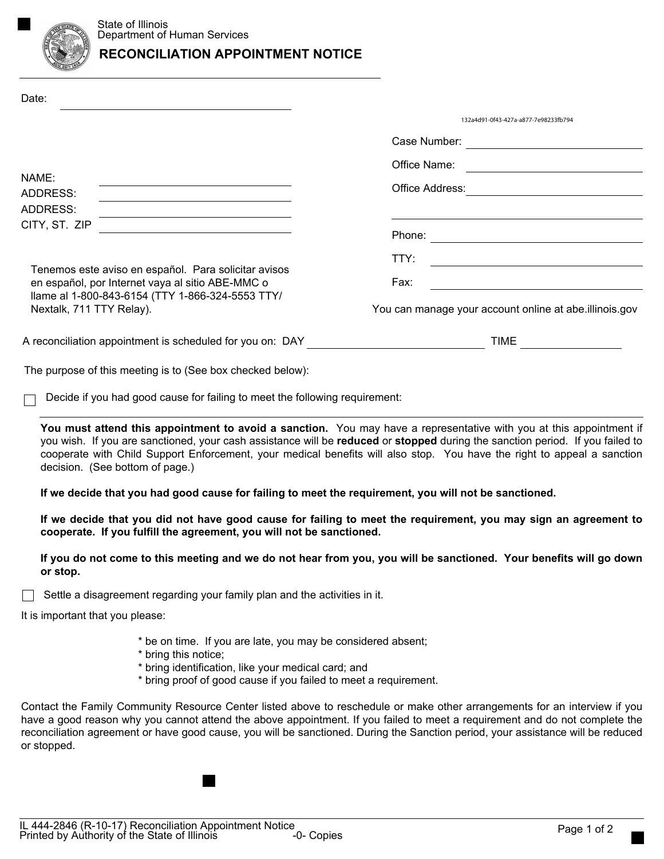

## **RECONCILIATION APPOINTMENT NOTICE**

| Date:                                                                                                                            |                                                                                                                                                                                                                  |                                                                                                                                                                                                                                                                                                                                                                                                                                                                                                    |
|----------------------------------------------------------------------------------------------------------------------------------|------------------------------------------------------------------------------------------------------------------------------------------------------------------------------------------------------------------|----------------------------------------------------------------------------------------------------------------------------------------------------------------------------------------------------------------------------------------------------------------------------------------------------------------------------------------------------------------------------------------------------------------------------------------------------------------------------------------------------|
|                                                                                                                                  |                                                                                                                                                                                                                  | 132a4d91-0f43-427a-a877-7e98233fb794                                                                                                                                                                                                                                                                                                                                                                                                                                                               |
|                                                                                                                                  |                                                                                                                                                                                                                  | Case Number:                                                                                                                                                                                                                                                                                                                                                                                                                                                                                       |
|                                                                                                                                  |                                                                                                                                                                                                                  | Office Name:<br><u> 1989 - Johann John Stone, Amerikaansk politiker (</u>                                                                                                                                                                                                                                                                                                                                                                                                                          |
| NAME:<br>ADDRESS:<br>ADDRESS:<br>CITY, ST. ZIP                                                                                   | <u> 1989 - Johann Stein, marwolaethau a bhann an t-Amhair an t-Amhair an t-Amhair an t-Amhair an t-Amhair an t-A</u>                                                                                             | Office Address:                                                                                                                                                                                                                                                                                                                                                                                                                                                                                    |
|                                                                                                                                  | <u> 1989 - Johann Barn, mars ann an t-Amhain Aonaich an t-Aonaich an t-Aonaich ann an t-Aonaich ann an t-Aonaich</u>                                                                                             |                                                                                                                                                                                                                                                                                                                                                                                                                                                                                                    |
|                                                                                                                                  |                                                                                                                                                                                                                  |                                                                                                                                                                                                                                                                                                                                                                                                                                                                                                    |
|                                                                                                                                  |                                                                                                                                                                                                                  | TTY:<br><u> 1989 - Johann Barn, mars eta bainar eta baina eta baina eta baina eta baina eta baina eta baina eta baina e</u>                                                                                                                                                                                                                                                                                                                                                                        |
|                                                                                                                                  | Tenemos este aviso en español. Para solicitar avisos                                                                                                                                                             | Fax:                                                                                                                                                                                                                                                                                                                                                                                                                                                                                               |
| en español, por Internet vaya al sitio ABE-MMC o<br>llame al 1-800-843-6154 (TTY 1-866-324-5553 TTY/<br>Nextalk, 711 TTY Relay). |                                                                                                                                                                                                                  | <u> 1989 - Johann Barn, amerikansk politiker (d. 1989)</u>                                                                                                                                                                                                                                                                                                                                                                                                                                         |
|                                                                                                                                  |                                                                                                                                                                                                                  | You can manage your account online at abe.illinois.gov                                                                                                                                                                                                                                                                                                                                                                                                                                             |
| A reconciliation appointment is scheduled for you on: DAY ______________________                                                 |                                                                                                                                                                                                                  | TIME <b>THE</b>                                                                                                                                                                                                                                                                                                                                                                                                                                                                                    |
|                                                                                                                                  | The purpose of this meeting is to (See box checked below):                                                                                                                                                       |                                                                                                                                                                                                                                                                                                                                                                                                                                                                                                    |
|                                                                                                                                  | Decide if you had good cause for failing to meet the following requirement:                                                                                                                                      |                                                                                                                                                                                                                                                                                                                                                                                                                                                                                                    |
|                                                                                                                                  | decision. (See bottom of page.)<br>If we decide that you had good cause for failing to meet the requirement, you will not be sanctioned.<br>cooperate. If you fulfill the agreement, you will not be sanctioned. | You must attend this appointment to avoid a sanction. You may have a representative with you at this appointment if<br>you wish. If you are sanctioned, your cash assistance will be reduced or stopped during the sanction period. If you failed to<br>cooperate with Child Support Enforcement, your medical benefits will also stop. You have the right to appeal a sanction<br>If we decide that you did not have good cause for failing to meet the requirement, you may sign an agreement to |
| or stop.                                                                                                                         |                                                                                                                                                                                                                  | If you do not come to this meeting and we do not hear from you, you will be sanctioned. Your benefits will go down                                                                                                                                                                                                                                                                                                                                                                                 |
|                                                                                                                                  | Settle a disagreement regarding your family plan and the activities in it.                                                                                                                                       |                                                                                                                                                                                                                                                                                                                                                                                                                                                                                                    |
| It is important that you please:                                                                                                 |                                                                                                                                                                                                                  |                                                                                                                                                                                                                                                                                                                                                                                                                                                                                                    |
|                                                                                                                                  | * be on time. If you are late, you may be considered absent;<br>* bring this notice;<br>* bring identification, like your medical card; and<br>* bring proof of good cause if you failed to meet a requirement.  |                                                                                                                                                                                                                                                                                                                                                                                                                                                                                                    |
| or stopped.                                                                                                                      |                                                                                                                                                                                                                  | Contact the Family Community Resource Center listed above to reschedule or make other arrangements for an interview if you<br>have a good reason why you cannot attend the above appointment. If you failed to meet a requirement and do not complete the<br>reconciliation agreement or have good cause, you will be sanctioned. During the Sanction period, your assistance will be reduced                                                                                                      |